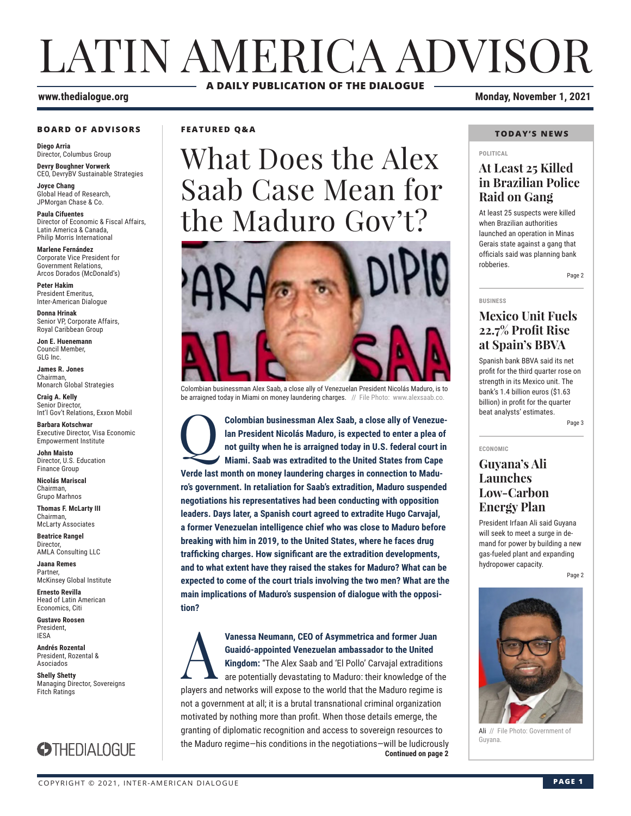# LATIN AMERICA ADVISOR **A DAILY PUBLICATION OF THE DIALOGUE**

#### **www.thedialogue.org Monday, November 1, 2021**

#### **BOARD OF ADVISORS**

**Diego Arria** Director, Columbus Group **Devry Boughner Vorwerk**

CEO, DevryBV Sustainable Strategies **Joyce Chang**

Global Head of Research, JPMorgan Chase & Co.

**Paula Cifuentes** Director of Economic & Fiscal Affairs, Latin America & Canada, Philip Morris International

**Marlene Fernández** Corporate Vice President for Government Relations, Arcos Dorados (McDonald's)

**Peter Hakim** President Emeritus, Inter-American Dialogue

**Donna Hrinak** Senior VP, Corporate Affairs, Royal Caribbean Group

**Jon E. Huenemann** Council Member, GLG Inc.

**James R. Jones** Chairman, Monarch Global Strategies

**Craig A. Kelly** Senior Director, Int'l Gov't Relations, Exxon Mobil

**Barbara Kotschwar** Executive Director, Visa Economic Empowerment Institute

**John Maisto** Director, U.S. Education Finance Group

**Nicolás Mariscal** Chairman, Grupo Marhnos

**Thomas F. McLarty III** Chairman, McLarty Associates

**Beatrice Rangel**  Director, AMLA Consulting LLC

**Jaana Remes Partner** McKinsey Global Institute

**Ernesto Revilla**  Head of Latin American Economics, Citi

**Gustavo Roosen** President, IESA

**Andrés Rozental**  President, Rozental & Asociados

**Shelly Shetty** Managing Director, Sovereigns Fitch Ratings



**FEATURED Q&A**

What Does the Alex Saab Case Mean for the Maduro Gov't?



Colombian businessman Alex Saab, a close ally of Venezuelan President Nicolás Maduro, is to be arraigned today in Miami on money laundering charges. // File Photo: www.alexsaab.co.

**Colombian businessman Alex Saab, a close ally of Venezue-<br>
lan President Nicolás Maduro, is expected to enter a plea of<br>
not guilty when he is arraigned today in U.S. federal court in<br>
Miami. Saab was extradited to the Un lan President Nicolás Maduro, is expected to enter a plea of not guilty when he is arraigned today in U.S. federal court in Miami. Saab was extradited to the United States from Cape Verde last month on money laundering charges in connection to Maduro's government. In retaliation for Saab's extradition, Maduro suspended negotiations his representatives had been conducting with opposition leaders. Days later, a Spanish court agreed to extradite Hugo Carvajal, a former Venezuelan intelligence chief who was close to Maduro before breaking with him in 2019, to the United States, where he faces drug trafficking charges. How significant are the extradition developments, and to what extent have they raised the stakes for Maduro? What can be expected to come of the court trials involving the two men? What are the main implications of Maduro's suspension of dialogue with the opposition?**

**Continued on page 2** Vanessa Neumann, CEO of Asymmetrica and former Juan Guaidó-appointed Venezuelan ambassador to the United Kingdom: "The Alex Saab and 'El Pollo' Carvajal extradition are potentially devastating to Maduro: their knowledge of **Guaidó-appointed Venezuelan ambassador to the United Kingdom:** "The Alex Saab and 'El Pollo' Carvajal extraditions are potentially devastating to Maduro: their knowledge of the players and networks will expose to the world that the Maduro regime is not a government at all; it is a brutal transnational criminal organization motivated by nothing more than profit. When those details emerge, the granting of diplomatic recognition and access to sovereign resources to the Maduro regime—his conditions in the negotiations—will be ludicrously

### **TODAY'S NEWS**

### **POLITICAL**

#### **At Least 25 Killed in Brazilian Police Raid on Gang**

At least 25 suspects were killed when Brazilian authorities launched an operation in Minas Gerais state against a gang that officials said was planning bank robberies.

### **Mexico Unit Fuels 22.7% Profit Rise at Spain's BBVA**

Spanish bank BBVA said its net profit for the third quarter rose on strength in its Mexico unit. The bank's 1.4 billion euros (\$1.63 billion) in profit for the quarter beat analysts' estimates.

Page 3

Page 2

**ECONOMIC**

**BUSINESS**

#### **Guyana's Ali Launches Low-Carbon Energy Plan**

President Irfaan Ali said Guyana will seek to meet a surge in demand for power by building a new gas-fueled plant and expanding hydropower capacity.

Page 2



Ali // File Photo: Government of Guyana.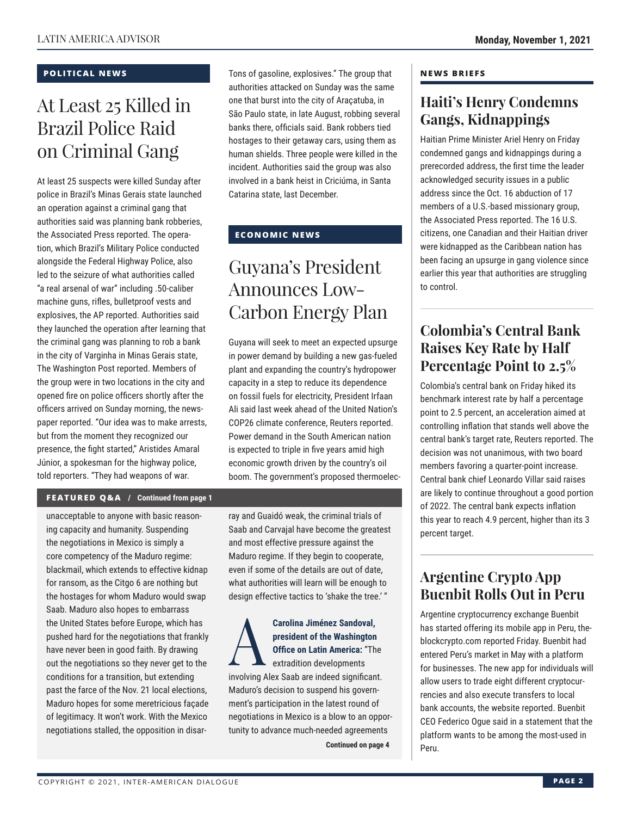#### **POLITICAL NEWS**

## At Least 25 Killed in Brazil Police Raid on Criminal Gang

At least 25 suspects were killed Sunday after police in Brazil's Minas Gerais state launched an operation against a criminal gang that authorities said was planning bank robberies, the Associated Press reported. The operation, which Brazil's Military Police conducted alongside the Federal Highway Police, also led to the seizure of what authorities called "a real arsenal of war" including .50-caliber machine guns, rifles, bulletproof vests and explosives, the AP reported. Authorities said they launched the operation after learning that the criminal gang was planning to rob a bank in the city of Varginha in Minas Gerais state, The Washington Post reported. Members of the group were in two locations in the city and opened fire on police officers shortly after the officers arrived on Sunday morning, the newspaper reported. "Our idea was to make arrests, but from the moment they recognized our presence, the fight started," Aristides Amaral Júnior, a spokesman for the highway police, told reporters. "They had weapons of war.

Tons of gasoline, explosives." The group that authorities attacked on Sunday was the same one that burst into the city of Araçatuba, in São Paulo state, in late August, robbing several banks there, officials said. Bank robbers tied hostages to their getaway cars, using them as human shields. Three people were killed in the incident. Authorities said the group was also involved in a bank heist in Criciúma, in Santa Catarina state, last December.

#### **ECONOMIC NEWS**

## Guyana's President Announces Low-Carbon Energy Plan

Guyana will seek to meet an expected upsurge in power demand by building a new gas-fueled plant and expanding the country's hydropower capacity in a step to reduce its dependence on fossil fuels for electricity, President Irfaan Ali said last week ahead of the United Nation's COP26 climate conference, Reuters reported. Power demand in the South American nation is expected to triple in five years amid high economic growth driven by the country's oil boom. The government's proposed thermoelec-

#### **FEATURED Q&A / Continued from page 1**

unacceptable to anyone with basic reasoning capacity and humanity. Suspending the negotiations in Mexico is simply a core competency of the Maduro regime: blackmail, which extends to effective kidnap for ransom, as the Citgo 6 are nothing but the hostages for whom Maduro would swap Saab. Maduro also hopes to embarrass the United States before Europe, which has pushed hard for the negotiations that frankly have never been in good faith. By drawing out the negotiations so they never get to the conditions for a transition, but extending past the farce of the Nov. 21 local elections, Maduro hopes for some meretricious façade of legitimacy. It won't work. With the Mexico negotiations stalled, the opposition in disarray and Guaidó weak, the criminal trials of Saab and Carvajal have become the greatest and most effective pressure against the Maduro regime. If they begin to cooperate, even if some of the details are out of date, what authorities will learn will be enough to design effective tactics to 'shake the tree.' "

Carolina Jiménez Sandoval,<br>
president of the Washington<br>
Office on Latin America: "The<br>
extradition developments<br>
involving Alex Seeb are indeed eignifican **president of the Washington Office on Latin America:** "The extradition developments involving Alex Saab are indeed significant. Maduro's decision to suspend his government's participation in the latest round of negotiations in Mexico is a blow to an opportunity to advance much-needed agreements

**Continued on page 4** 

#### **NEWS BRIEFS**

### **Haiti's Henry Condemns Gangs, Kidnappings**

Haitian Prime Minister Ariel Henry on Friday condemned gangs and kidnappings during a prerecorded address, the first time the leader acknowledged security issues in a public address since the Oct. 16 abduction of 17 members of a U.S.-based missionary group, the Associated Press reported. The 16 U.S. citizens, one Canadian and their Haitian driver were kidnapped as the Caribbean nation has been facing an upsurge in gang violence since earlier this year that authorities are struggling to control.

### **Colombia's Central Bank Raises Key Rate by Half Percentage Point to 2.5%**

Colombia's central bank on Friday hiked its benchmark interest rate by half a percentage point to 2.5 percent, an acceleration aimed at controlling inflation that stands well above the central bank's target rate, Reuters reported. The decision was not unanimous, with two board members favoring a quarter-point increase. Central bank chief Leonardo Villar said raises are likely to continue throughout a good portion of 2022. The central bank expects inflation this year to reach 4.9 percent, higher than its 3 percent target.

### **Argentine Crypto App Buenbit Rolls Out in Peru**

Argentine cryptocurrency exchange Buenbit has started offering its mobile app in Peru, theblockcrypto.com reported Friday. Buenbit had entered Peru's market in May with a platform for businesses. The new app for individuals will allow users to trade eight different cryptocurrencies and also execute transfers to local bank accounts, the website reported. Buenbit CEO Federico Ogue said in a statement that the platform wants to be among the most-used in Peru.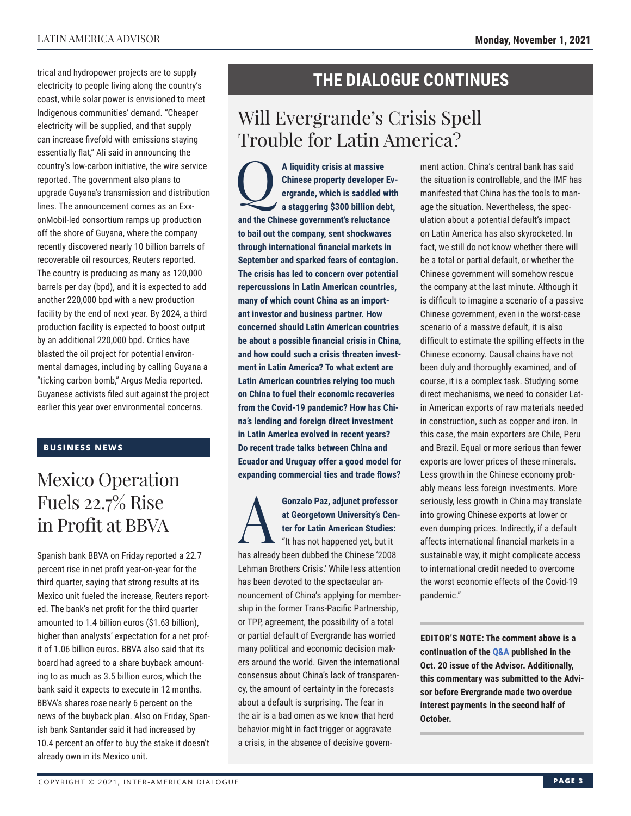trical and hydropower projects are to supply electricity to people living along the country's coast, while solar power is envisioned to meet Indigenous communities' demand. "Cheaper electricity will be supplied, and that supply can increase fivefold with emissions staying essentially flat," Ali said in announcing the country's low-carbon initiative, the wire service reported. The government also plans to upgrade Guyana's transmission and distribution lines. The announcement comes as an ExxonMobil-led consortium ramps up production off the shore of Guyana, where the company recently discovered nearly 10 billion barrels of recoverable oil resources, Reuters reported. The country is producing as many as 120,000 barrels per day (bpd), and it is expected to add another 220,000 bpd with a new production facility by the end of next year. By 2024, a third production facility is expected to boost output by an additional 220,000 bpd. Critics have blasted the oil project for potential environmental damages, including by calling Guyana a "ticking carbon bomb," Argus Media reported. Guyanese activists filed suit against the project earlier this year over environmental concerns.

#### **BUSINESS NEWS**

## Mexico Operation Fuels 22.7% Rise in Profit at BBVA

Spanish bank BBVA on Friday reported a 22.7 percent rise in net profit year-on-year for the third quarter, saying that strong results at its Mexico unit fueled the increase, Reuters reported. The bank's net profit for the third quarter amounted to 1.4 billion euros (\$1.63 billion), higher than analysts' expectation for a net profit of 1.06 billion euros. BBVA also said that its board had agreed to a share buyback amounting to as much as 3.5 billion euros, which the bank said it expects to execute in 12 months. BBVA's shares rose nearly 6 percent on the news of the buyback plan. Also on Friday, Spanish bank Santander said it had increased by 10.4 percent an offer to buy the stake it doesn't already own in its Mexico unit.

### **THE DIALOGUE CONTINUES**

## Will Evergrande's Crisis Spell Trouble for Latin America?

A liquidity crisis at massive<br>Chinese property developer<br>ergrande, which is saddled **v**<br>a staggering \$300 billion del **Chinese property developer Evergrande, which is saddled with a staggering \$300 billion debt, and the Chinese government's reluctance to bail out the company, sent shockwaves through international financial markets in September and sparked fears of contagion. The crisis has led to concern over potential repercussions in Latin American countries, many of which count China as an important investor and business partner. How concerned should Latin American countries be about a possible financial crisis in China, and how could such a crisis threaten investment in Latin America? To what extent are Latin American countries relying too much on China to fuel their economic recoveries from the Covid-19 pandemic? How has China's lending and foreign direct investment in Latin America evolved in recent years? Do recent trade talks between China and Ecuador and Uruguay offer a good model for expanding commercial ties and trade flows?**

### **Gonzalo Paz, adjunct professor<br>at Georgetown University's Center for Latin American Studies:**<br>"It has not happened yet, but it **at Georgetown University's Center for Latin American Studies:** "It has not happened yet, but it

has already been dubbed the Chinese '2008 Lehman Brothers Crisis.' While less attention has been devoted to the spectacular announcement of China's applying for membership in the former Trans-Pacific Partnership, or TPP, agreement, the possibility of a total or partial default of Evergrande has worried many political and economic decision makers around the world. Given the international consensus about China's lack of transparency, the amount of certainty in the forecasts about a default is surprising. The fear in the air is a bad omen as we know that herd behavior might in fact trigger or aggravate a crisis, in the absence of decisive government action. China's central bank has said the situation is controllable, and the IMF has manifested that China has the tools to manage the situation. Nevertheless, the speculation about a potential default's impact on Latin America has also skyrocketed. In fact, we still do not know whether there will be a total or partial default, or whether the Chinese government will somehow rescue the company at the last minute. Although it is difficult to imagine a scenario of a passive Chinese government, even in the worst-case scenario of a massive default, it is also difficult to estimate the spilling effects in the Chinese economy. Causal chains have not been duly and thoroughly examined, and of course, it is a complex task. Studying some direct mechanisms, we need to consider Latin American exports of raw materials needed in construction, such as copper and iron. In this case, the main exporters are Chile, Peru and Brazil. Equal or more serious than fewer exports are lower prices of these minerals. Less growth in the Chinese economy probably means less foreign investments. More seriously, less growth in China may translate into growing Chinese exports at lower or even dumping prices. Indirectly, if a default affects international financial markets in a sustainable way, it might complicate access to international credit needed to overcome the worst economic effects of the Covid-19 pandemic."

**EDITOR'S NOTE: The comment above is a continuation of t[he Q&A pu](http://www.thedialogue.org/wp-content/uploads/2021/10/LAA211020.pdf)blished in the Oct. 20 issue of the Advisor. Additionally, this commentary was submitted to the Advisor before Evergrande made two overdue interest payments in the second half of October.**